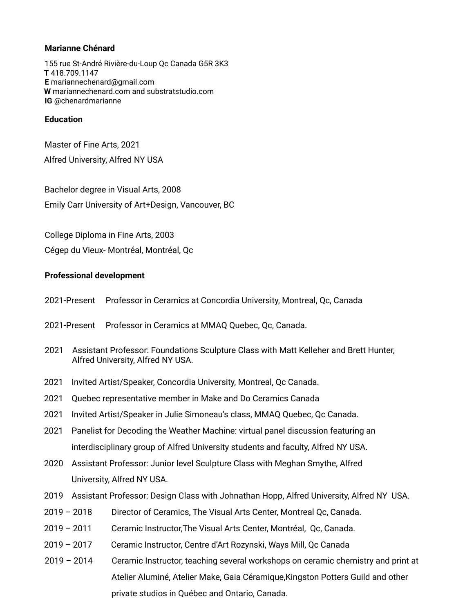#### **Marianne Chénard**

155 rue St-André Rivière-du-Loup Qc Canada G5R 3K3 **T** 418.709.1147 **E** mariannechenard@gmail.com **W** mariannechenard.com and substratstudio.com **IG** @chenardmarianne

# **Education**

Master of Fine Arts, 2021 Alfred University, Alfred NY USA

Bachelor degree in Visual Arts, 2008 Emily Carr University of Art+Design, Vancouver, BC

College Diploma in Fine Arts, 2003 Cégep du Vieux- Montréal, Montréal, Qc

# **Professional development**

- 2021-Present Professor in Ceramics at Concordia University, Montreal, Qc, Canada
- 2021-Present Professor in Ceramics at MMAQ Quebec, Qc, Canada.
- 2021 Assistant Professor: Foundations Sculpture Class with Matt Kelleher and Brett Hunter, Alfred University, Alfred NY USA.
- 2021 Invited Artist/Speaker, Concordia University, Montreal, Qc Canada.
- 2021 Quebec representative member in Make and Do Ceramics Canada
- 2021 Invited Artist/Speaker in Julie Simoneau's class, MMAQ Quebec, Qc Canada.
- 2021 Panelist for Decoding the Weather Machine: virtual panel discussion featuring an interdisciplinary group of Alfred University students and faculty, Alfred NY USA.
- 2020 Assistant Professor: Junior level Sculpture Class with Meghan Smythe, Alfred University, Alfred NY USA.
- 2019 Assistant Professor: Design Class with Johnathan Hopp, Alfred University, Alfred NY USA.
- 2019 2018 Director of Ceramics, The Visual Arts Center, Montreal Qc, Canada.
- 2019 2011 Ceramic Instructor,The Visual Arts Center, Montréal, Qc, Canada.
- 2019 2017 Ceramic Instructor, Centre d'Art Rozynski, Ways Mill, Qc Canada
- 2019 2014 Ceramic Instructor, teaching several workshops on ceramic chemistry and print at Atelier Aluminé, Atelier Make, Gaia Céramique,Kingston Potters Guild and other private studios in Québec and Ontario, Canada.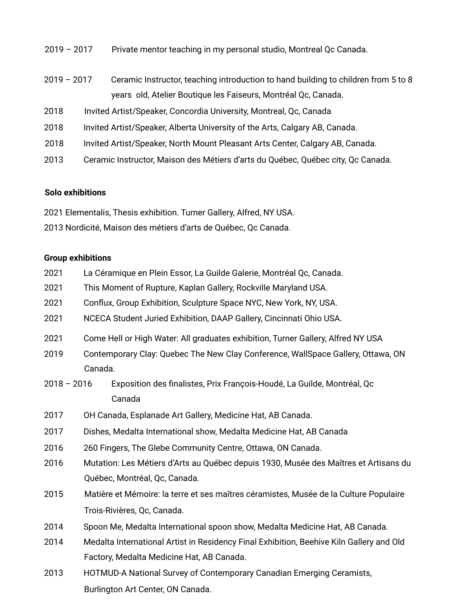| $2019 - 2017$ | Private mentor teaching in my personal studio, Montreal Qc Canada.                 |
|---------------|------------------------------------------------------------------------------------|
| $2019 - 2017$ | Ceramic Instructor, teaching introduction to hand building to children from 5 to 8 |
|               | years old, Atelier Boutique les Faiseurs, Montréal Qc, Canada.                     |
| 2018          | Invited Artist/Speaker, Concordia University, Montreal, Qc, Canada                 |
| 2018          | Invited Artist/Speaker, Alberta University of the Arts, Calgary AB, Canada.        |
| 2018          | Invited Artist/Speaker, North Mount Pleasant Arts Center, Calgary AB, Canada.      |
| 2013          | Ceramic Instructor, Maison des Métiers d'arts du Québec, Québec city, Qc Canada.   |

# **Solo exhibitions**

Elementalis, Thesis exhibition. Turner Gallery, Alfred, NY USA.

Nordicité, Maison des métiers d'arts de Québec, Qc Canada.

# **Group exhibitions**

- La Céramique en Plein Essor, La Guilde Galerie, Montréal Qc, Canada.
- This Moment of Rupture, Kaplan Gallery, Rockville Maryland USA.
- Conflux, Group Exhibition, Sculpture Space NYC, New York, NY, USA.
- NCECA Student Juried Exhibition, DAAP Gallery, Cincinnati Ohio USA.
- Come Hell or High Water: All graduates exhibition, Turner Gallery, Alfred NY USA
- Contemporary Clay: Quebec The New Clay Conference, WallSpace Gallery, Ottawa, ON Canada.
- 2016 Exposition des finalistes, Prix François-Houdé, La Guilde, Montréal, Qc Canada
- OH Canada, Esplanade Art Gallery, Medicine Hat, AB Canada.
- Dishes, Medalta International show, Medalta Medicine Hat, AB Canada
- 260 Fingers, The Glebe Community Centre, Ottawa, ON Canada.
- Mutation: Les Métiers d'Arts au Québec depuis 1930, Musée des Maîtres et Artisans du Québec, Montréal, Qc, Canada.
- Matière et Mémoire: la terre et ses maîtres céramistes, Musée de la Culture Populaire Trois-Rivières, Qc, Canada.
- Spoon Me, Medalta International spoon show, Medalta Medicine Hat, AB Canada.
- Medalta International Artist in Residency Final Exhibition, Beehive Kiln Gallery and Old Factory, Medalta Medicine Hat, AB Canada.
- HOTMUD-A National Survey of Contemporary Canadian Emerging Ceramists, Burlington Art Center, ON Canada.